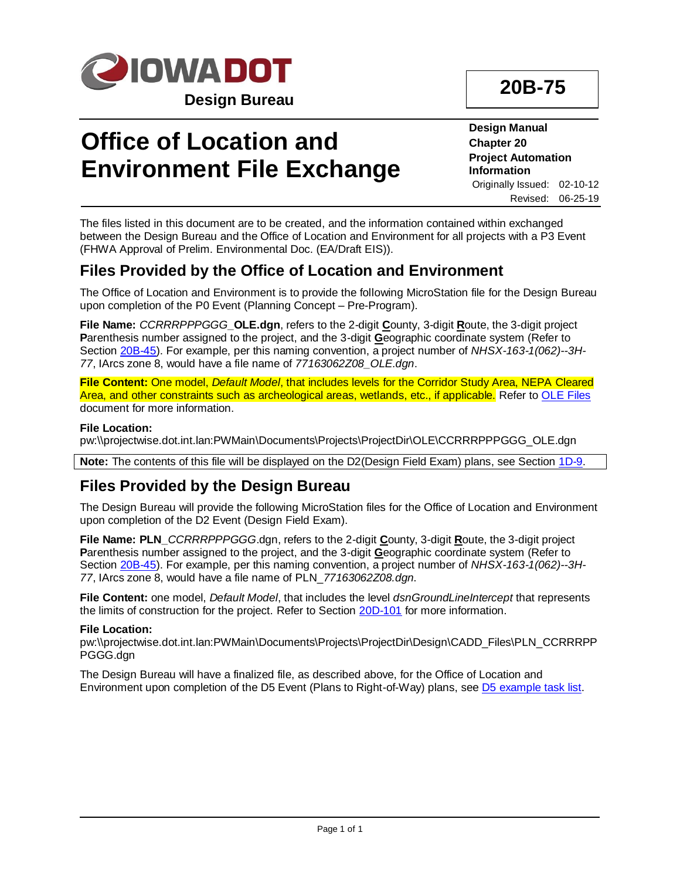

# **Office of Location and Environment File Exchange**

**Design Manual Chapter 20 Project Automation Information** Originally Issued: 02-10-12 Revised: 06-25-19

The files listed in this document are to be created, and the information contained within exchanged between the Design Bureau and the Office of Location and Environment for all projects with a P3 Event (FHWA Approval of Prelim. Environmental Doc. (EA/Draft EIS)).

### **Files Provided by the Office of Location and Environment**

The Office of Location and Environment is to provide the following MicroStation file for the Design Bureau upon completion of the P0 Event (Planning Concept – Pre-Program).

**File Name:** *CCRRRPPPGGG***\_OLE.dgn**, refers to the 2-digit **C**ounty, 3-digit **R**oute, the 3-digit project **P**arenthesis number assigned to the project, and the 3-digit **G**eographic coordinate system (Refer to Section [20B-45\)](20B-45.pdf). For example, per this naming convention, a project number of *NHSX-163-1(062)--3H-77*, IArcs zone 8, would have a file name of *77163062Z08\_OLE.dgn*.

**File Content:** One model, *Default Model*, that includes levels for the Corridor Study Area, NEPA Cleared Area, and other constraints such as archeological areas, wetlands, etc., if applicable. Refer to [OLE Files](http://dotnet/environment/pdfs/Iowa_DOT_OLE_Manual_090821.pdf) document for more information.

#### **File Location:**

pw:\\projectwise.dot.int.lan:PWMain\Documents\Projects\ProjectDir\OLE\CCRRRPPPGGG\_OLE.dgn

**Note:** The contents of this file will be displayed on the D2(Design Field Exam) plans, see Section [1D-9.](01D-09.pdf)

### **Files Provided by the Design Bureau**

The Design Bureau will provide the following MicroStation files for the Office of Location and Environment upon completion of the D2 Event (Design Field Exam).

**File Name: PLN\_***CCRRRPPPGGG*.dgn, refers to the 2-digit **C**ounty, 3-digit **R**oute, the 3-digit project **P**arenthesis number assigned to the project, and the 3-digit **G**eographic coordinate system (Refer to Section [20B-45\)](20B-45.pdf). For example, per this naming convention, a project number of *NHSX-163-1(062)--3H-77*, IArcs zone 8, would have a file name of PLN\_*77163062Z08.dgn*.

**File Content:** one model, *Default Model*, that includes the level *dsnGroundLineIntercept* that represents the limits of construction for the project. Refer to Section [20D-101](20D-101.pdf) for more information.

#### **File Location:**

pw:\\projectwise.dot.int.lan:PWMain\Documents\Projects\ProjectDir\Design\CADD\_Files\PLN\_CCRRRPP PGGG.dgn

The Design Bureau will have a finalized file, as described above, for the Office of Location and Environment upon completion of the D5 Event (Plans to Right-of-Way) plans, see [D5 example task list.](01D-01/D5.pdf)